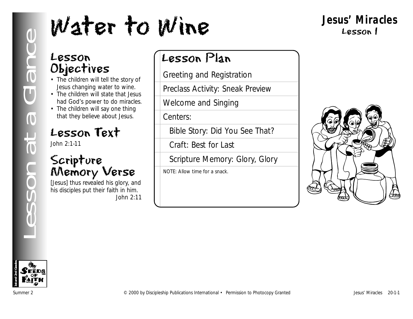## **Jesus' Miracles** Lesson 1

## Lesson Objectives

- The children will tell the story of Jesus changing water to wine.
- The children will state that Jesus had God's power to do miracles.
- The children will say one thing that they believe about Jesus.

## Lesson Text

John 2:1-11

## Scripture Memory Verse

[Jesus] thus revealed his glory, and his disciples put their faith in him. *John 2:11*

## Lesson Plan

Greeting and Registration

Preclass Activity: Sneak Preview

Welcome and Singing

Centers:

Bible Story: Did You See That?

Craft: Best for Last

Scripture Memory: Glory, Glory

NOTE: Allow time for a snack.



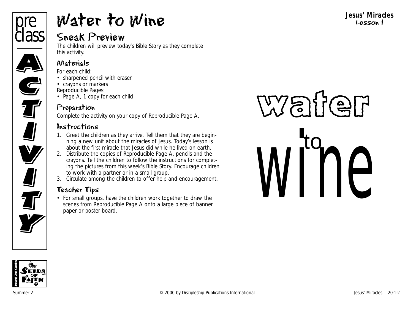

# Water to Wine

## Sneak Preview

The children will preview today's Bible Story as they complete this activity.

#### Materials

*For each child:*

• sharpened pencil with eraser

• crayons or markers

*Reproducible Pages:*

• Page A, 1 copy for each child

## Preparation

Complete the activity on your copy of Reproducible Page A.

## Instructions

- 1. Greet the children as they arrive. Tell them that they are beginning a new unit about the miracles of Jesus. Today's lesson is about the first miracle that Jesus did while he lived on earth.
- 2. Distribute the copies of Reproducible Page A, pencils and the crayons. Tell the children to follow the instructions for completing the pictures from this week's Bible Story. Encourage children to work with a partner or in a small group.
- 3. Circulate among the children to offer help and encouragement.

## Teacher Tips

• For small groups, have the children work together to draw the scenes from Reproducible Page A onto a large piece of banner paper or poster board.

**Jesus' Miracles** Lesson 1

# War io<br>INP

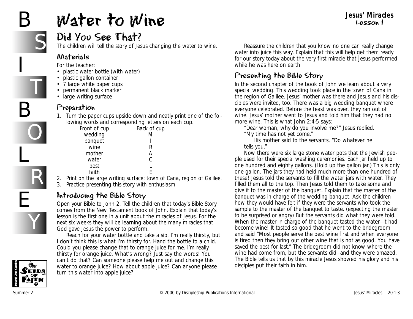# B

I

B

L

E

S

T

O

R

Y

# Water to Wine

#### **Jesus' Miracles** Lesson 1

## Did You See That?

The children will tell the story of Jesus changing the water to wine.

#### Materials

*For the teacher:*

- plastic water bottle (with water)
- plastic gallon container
- 7 large white paper cups
- permanent black marker
- large writing surface

### Preparation

1. Turn the paper cups upside down and neatly print one of the following words and corresponding letters on each cup.

| <u>Front of cup</u> | Back of cup |
|---------------------|-------------|
| wedding             | M           |
| banquet             |             |
| wine                | К           |
| mother              | д           |
| water               | C           |
| best                |             |
| faith               |             |
|                     |             |

2. Print on the large writing surface: town of Cana, region of Galilee. 3. Practice presenting this story with enthusiasm.

## Introducing the Bible Story

Open your Bible to John 2. Tell the children that today's Bible Story comes from the New Testament book of John. Explain that today's lesson is the first one in a unit about the miracles of Jesus. For the next six weeks they will be learning about the many miracles that God gave Jesus the power to perform.

Reach for your water bottle and take a sip. *I'm really thirsty, but I don't think this is what I'm thirsty for.* Hand the bottle to a child. *Could you please change that to orange juice for me. I'm really thirsty for orange juice. What's wrong? Just say the words! You can't do that? Can someone please help me out and change this water to orange juice? How about apple juice? Can anyone please turn this water into apple juice?* 

Reassure the children that you know no one can really change water into juice this way. Explain that this will help get them ready for our story today about the very first miracle that Jesus performed while he was here on earth.

## Presenting the Bible Story

*In the second chapter of the book of John we learn about a very special wedding. This wedding took place in the town of Cana in the region of Galilee. Jesus' mother was there and Jesus and his disciples were invited, too. There was a big wedding banquet where everyone celebrated. Before the feast was over, they ran out of wine. Jesus' mother went to Jesus and told him that they had no more wine. This is what John 2:4-5 says:*

*"Dear woman, why do you involve me?" Jesus replied. "My time has not yet come."* 

*His mother said to the servants, "Do whatever he tells you."*

*Now there were six large stone water pots that the Jewish people used for their special washing ceremonies. Each jar held up to one hundred and eighty gallons.* (Hold up the gallon jar.*) This is only one gallon. The jars they had held much more than one hundred of these! Jesus told the servants to fill the water jars with water. They filled them all to the top. Then Jesus told them to take some and give it to the master of the banquet.* Explain that the master of the banquet was in charge of the wedding banquet. Ask the children how they would have felt if they were the servants who took the sample to the master of the banquet to taste. (expecting the master to be surprised or angry) *But the servants did what they were told. When the master in charge of the banquet tasted the water—it had become wine! It tasted so good that he went to the bridegroom and said "Most people serve the best wine first and when everyone is tired then they bring out other wine that is not as good. You have saved the best for last." The bridegroom did not know where the wine had come from, but the servants did—and they were amazed. The Bible tells us that by this miracle Jesus showed his glory and his disciples put their faith in him.* 

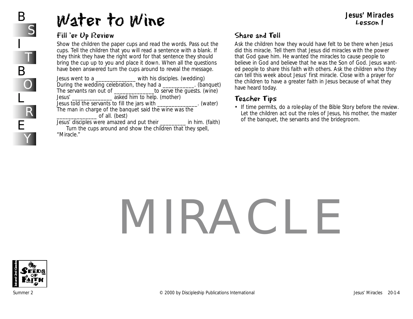# Water to Wine

#### Fill 'er Up Review

Show the children the paper cups and read the words. Pass out the cups. Tell the children that you will read a sentence with a blank. If they think they have the right word for that sentence they should bring the cup up to you and place it down. When all the questions have been answered turn the cups around to reveal the message.

Jesus went to a \_\_\_\_\_\_\_\_\_\_\_\_\_\_ with his disciples. (wedding) During the wedding celebration, they had a  $\blacksquare$  (banquet) The servants ran out of \_\_\_\_\_\_\_\_\_\_\_\_\_\_to serve the guests. (wine) Jesus' \_\_\_\_\_\_\_\_\_\_\_\_\_\_ asked him to help. (mother) Jesus told the servants to fill the jars with \_\_\_\_\_\_\_\_\_\_\_\_\_\_. (water) The man in charge of the banquet said the wine was the \_\_\_\_\_\_\_\_\_\_\_\_\_\_ of all. (best) Jesus' disciples were amazed and put their \_\_\_\_\_\_\_\_\_ in him. (faith)

Turn the cups around and show the children that they spell, "Miracle."

## Share and Tell

Ask the children how they would have felt to be there when Jesus did this miracle. Tell them that Jesus did miracles with the power that God gave him. He wanted the miracles to cause people to believe in God and believe that he was the Son of God. Jesus wanted people to share this faith with others. Ask the children who they can tell this week about Jesus' first miracle. Close with a prayer for the children to have a greater faith in Jesus because of what they have heard today.

#### Teacher Tips

• If time permits, do a role-play of the Bible Story before the review. Let the children act out the roles of Jesus, his mother, the master of the banquet, the servants and the bridegroom.

# MIRACLE



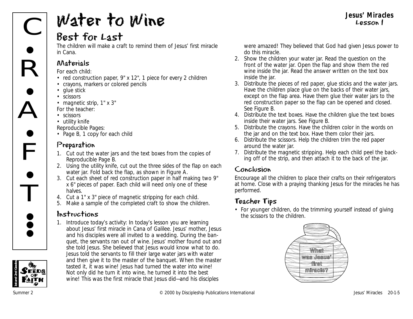# $\overline{\overline{\text{C}}}$  $\mathsf{R}$  $\mathring{\mathsf{A}}$  $\mathsf{F}$  $\bullet$  $\bullet$ **•**  $\bullet$

# Water to Wine

## Best for Last

The children will make a craft to remind them of Jesus' first miracle in Cana.

## Materials

*For each child:*

- red construction paper, 9" x 12", 1 piece for every 2 children
- crayons, markers or colored pencils
- glue stick
- scissors
- magnetic strip, 1" x 3"
- *For the teacher:*
- scissors
- utility knife

*Reproducible Pages:*

• Page B, 1 copy for each child

## Preparation

- 1. Cut out the water jars and the text boxes from the copies of Reproducible Page B.
- 2. Using the utility knife, cut out the three sides of the flap on each water jar. Fold back the flap, as shown in Figure A.
- 3. Cut each sheet of red construction paper in half making two 9" x 6" pieces of paper. Each child will need only one of these halves.
- 4. Cut a 1" x 3" piece of magnetic stripping for each child.
- 5. Make a sample of the completed craft to show the children.

## Instructions

1. Introduce today's activity: *In today's lesson you are learning about Jesus' first miracle in Cana of Galilee. Jesus' mother, Jesus and his disciples were all invited to a wedding. During the banquet, the servants ran out of wine. Jesus' mother found out and she told Jesus. She believed that Jesus would know what to do. Jesus told the servants to fill their large water jars with water and then give it to the master of the banquet. When the master tasted it, it was wine! Jesus had turned the water into wine! Not only did he turn it into wine, he turned it into the best wine! This was the first miracle that Jesus did—and his disciples*

*were amazed! They believed that God had given Jesus power to do this miracle.* 

**Jesus' Miracles** Lesson 1

- 2. Show the children your water jar. Read the question on the front of the water jar. Open the flap and show them the red wine inside the jar. Read the answer written on the text box inside the jar.
- 3. Distribute the pieces of red paper, glue sticks and the water jars. Have the children place glue on the backs of their water jars, except on the flap area. Have them glue their water jars to the red construction paper so the flap can be opened and closed. See Figure B.
- 4. Distribute the text boxes. Have the children glue the text boxes inside their water jars. See Figure B.
- 5. Distribute the crayons. Have the children color in the words on the jar and on the text box. Have them color their jars.
- 6. Distribute the scissors. Help the children trim the red paper around the water jar.
- 7. Distribute the magnetic stripping. Help each child peel the backing off of the strip, and then attach it to the back of the jar.

## Conclusion

Encourage all the children to place their crafts on their refrigerators at home. Close with a praying thanking Jesus for the miracles he has performed.

## Teacher Tips

• For younger children, do the trimming yourself instead of giving the scissors to the children.





<del>i</del><br>T

**• e •**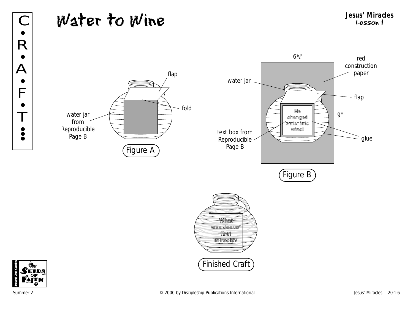## Water to Wine **Jesus' Miracles** C Lesson 1

red construction paper

flap

glue

Ξ

9"









Summer 2 **Example 2000** by Discipleship Publications International and the series of the series 20-1-6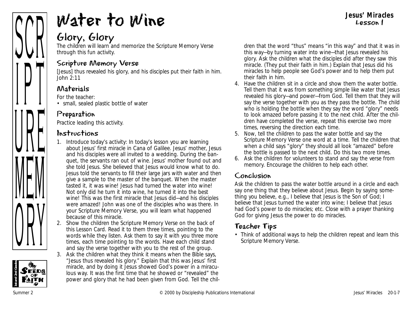

# Water to Wine

## Glory, Glory

The children will learn and memorize the Scripture Memory Verse through this fun activity.

#### Scripture Memory Verse

[Jesus] thus revealed his glory, and his disciples put their faith in him. *John 2:11*

## Materials

*For the teacher:*

• small, sealed plastic bottle of water

## Preparation

Practice leading this activity.

## Instructions

- 1. Introduce today's activity: *In today's lesson you are learning about Jesus' first miracle in Cana of Galilee. Jesus' mother, Jesus and his disciples were all invited to a wedding. During the banquet, the servants ran out of wine. Jesus' mother found out and she told Jesus. She believed that Jesus would know what to do. Jesus told the servants to fill their large jars with water and then give a sample to the master of the banquet. When the master tasted it, it was wine! Jesus had turned the water into wine! Not only did he turn it into wine, he turned it into the best wine! This was the first miracle that Jesus did—and his disciples were amazed! John was one of the disciples who was there. In your Scripture Memory Verse, you will learn what happened because of this miracle.*
- 2. Show the children the Scripture Memory Verse on the back of this Lesson Card. Read it to them three times, pointing to the words while they listen. Ask them to say it with you three more times, each time pointing to the words. Have each child stand and say the verse together with you to the rest of the group.
- 3. Ask the children what they think it means when the Bible says, "Jesus thus revealed his glory." Explain that this was Jesus' first miracle, and by doing it Jesus showed God's power in a miraculous way. It was the first time that he showed or "revealed" the power and glory that he had been given from God. Tell the chil-

dren that the word "thus" means "in this way" and that it was in this way—by turning water into wine—that Jesus revealed his glory. Ask the children what the disciples did after they saw this miracle. (They put their faith in him.) Explain that Jesus did his miracles to help people see God's power and to help them put their faith in him.

- 4. Have the children sit in a circle and show them the water bottle. Tell them that it was from something simple like water that Jesus revealed his glory—and power—from God. Tell them that they will say the verse together with you as they pass the bottle. The child who is holding the bottle when they say the word "glory" needs to look amazed before passing it to the next child. After the children have completed the verse, repeat this exercise two more times, reversing the direction each time.
- 5. Now, tell the children to pass the water bottle and say the Scripture Memory Verse one word at a time. Tell the children that when a child says "glory" they should all look "amazed" before the bottle is passed to the next child. Do this two more times.
- 6. Ask the children for volunteers to stand and say the verse from memory. Encourage the children to help each other.

## Conclusion

Ask the children to pass the water bottle around in a circle and each say one thing that they believe about Jesus. Begin by saying something you believe, e.g., *I believe that Jesus is the Son of God; I believe that Jesus turned the water into wine; I believe that Jesus had God's power to do miracles; etc*. Close with a prayer thanking God for giving Jesus the power to do miracles.

## Teacher Tips

• Think of additional ways to help the children repeat and learn this Scripture Memory Verse.

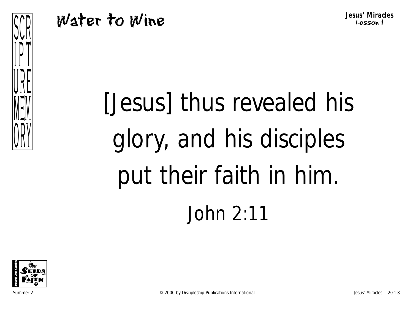**Jesus' Miracles** Lesson 1

## Water to Wine





ANI

 $\prod$ 

VIIL

MEM

VIII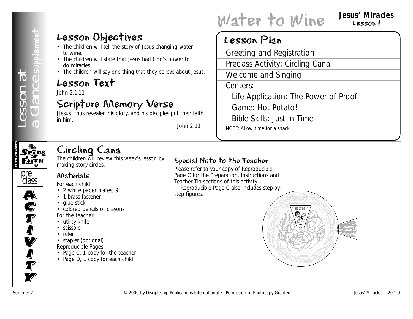## Lesson Objectives

- The children will tell the story of Jesus changing water to wine.
- The children will state that Jesus had God's power to do miracles.
- The children will say one thing that they believe about Jesus.

## Lesson Text

John 2:1-11

## Scripture Memory Verse

[Jesus] thus revealed his glory, and his disciples put their faith in him.

*John 2:11*

# Water to Wine Jesus' Miracles

## Lesson 1

## Lesson Plan

Greeting and Registration Preclass Activity: Circling Cana Welcome and Singing Centers: Life Application: The Power of Proof

Game: Hot Potato!

Bible Skills: Just in Time

NOTE: Allow time for a snack.

# **1st and 2nd Grades**

## Circling Cana

The children will review this week's lesson by making story circles.



A)<br>C

**S**<br>T

I<br>I

**V** 

**I** 

**J**<br>T

**Ty** 

## Materials

*For each child:*

- 2 white paper plates, 9"
- 1 brass fastener
- glue stick
- colored pencils or crayons *For the teacher:*
- utility knife
- scissors
- ruler
- stapler (optional) *Reproducible Pages:*
- Page C, 1 copy for the teacher
- Page D, 1 copy for each child

#### Special Note to the Teacher

Please refer to your copy of Reproducible Page C for the Preparation, Instructions and Teacher Tip sections of this activity. Reproducible Page C also includes step-bystep figures.

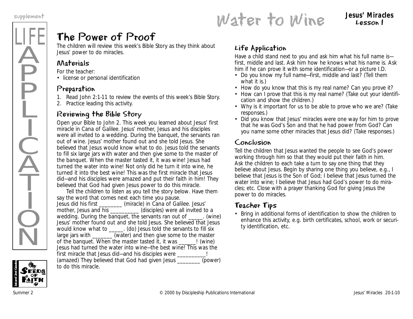## LIFE Ä **P** P Ļ I  $\frac{1}{2}$  $\widecheck{\mathrm{A}}$ T I  $\dot{Q}$  $\overline{\textsf{N}}$

## The Power of Proof

The children will review this week's Bible Story as they think about Jesus' power to do miracles.

#### Materials

*For the teacher:*

• license or personal identification

#### Preparation

- 1. Read John 2:1-11 to review the events of this week's Bible Story.
- 2. Practice leading this activity.

#### Reviewing the Bible Story

Open your Bible to John 2. *This week you learned about Jesus' first miracle in Cana of Galilee. Jesus' mother, Jesus and his disciples were all invited to a wedding. During the banquet, the servants ran out of wine. Jesus' mother found out and she told Jesus. She believed that Jesus would know what to do. Jesus told the servants to fill six large jars with water and then give some to the master of the banquet. When the master tasted it, it was wine! Jesus had turned the water into wine! Not only did he turn it into wine, he turned it into the best wine! This was the first miracle that Jesus did—and his disciples were amazed and put their faith in him! They believed that God had given Jesus power to do this miracle.* 

Tell the children to listen as you tell the story below. Have them say the word that comes next each time you pause. *Jesus did his first \_\_\_\_\_\_\_\_* (miracle) *in Cana of Galilee. Jesus' mother, Jesus and his* \_\_\_\_\_\_\_\_\_\_ (disciples) *were all invited to a wedding. During the banquet, the servants ran out of \_\_\_\_\_.* (wine) *Jesus' mother found out and she told Jesus. She believed that Jesus would know what to \_\_\_\_\_.* (do) *Jesus told the servants to fill six large jars with \_\_\_\_\_\_\_* (water) *and then give some to the master of the banquet. When the master tasted it, it was \_\_\_\_\_\_!* (wine) *Jesus had turned the water into wine—the best wine! This was the first miracle that Jesus did—and his disciples were \_\_\_\_\_\_\_\_\_\_!* (amazed) *They believed that God had given Jesus \_\_\_\_\_\_\_\_* (power) *to do this miracle.* 

#### Life Application

Have a child stand next to you and ask him what his full name is first, middle and last. Ask him how he knows what his name is. Ask him if he can prove it with some identification—or a picture I.D.

- *Do you know my full name—first, middle and last?* (Tell them what it is.)
- *How do you know that this is my real name? Can you prove it?*
- *How can I prove that this is my real name?* (Take out your identification and show the children.)
- *Why is it important for us to be able to prove who we are?* (Take responses.)
- *Did you know that Jesus' miracles were one way for him to prove that he was God's Son and that he had power from God? Can you name some other miracles that Jesus did?* (Take responses.)

#### Conclusion

Tell the children that Jesus wanted the people to see God's power working through him so that they would put their faith in him. Ask the children to each take a turn to say one thing that they believe about Jesus. Begin by sharing one thing you believe, e.g., *I believe that Jesus is the Son of God; I believe that Jesus turned the water into wine; I believe that Jesus had God's power to do miracles; etc.* Close with a prayer thanking God for giving Jesus the power to do miracles.

#### Teacher Tips

• Bring in additional forms of identification to show the children to enhance this activity, e.g. birth certificates, school, work or security identification, etc.



supplement<br> **Water to Wine** Sesus' Miracles Lesson 1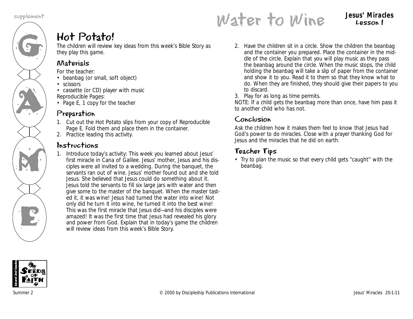# G AN A M K<br>E

# Water to Wine supplement **Jesus' Miracles**

Lesson 1

## Hot Potato!

The children will review key ideas from this week's Bible Story as they play this game.

## Materials

*For the teacher:*

- beanbag (or small, soft object)
- scissors
- cassette (or CD) player with music *Reproducible Pages:*
- Page E, 1 copy for the teacher

## Preparation

- 1. Cut out the Hot Potato slips from your copy of Reproducible Page E. Fold them and place them in the container.
- 2. Practice leading this activity.

## Instructions

1. Introduce today's activity*: This week you learned about Jesus' first miracle in Cana of Galilee. Jesus' mother, Jesus and his disciples were all invited to a wedding. During the banquet, the servants ran out of wine. Jesus' mother found out and she told Jesus. She believed that Jesus could do something about it. Jesus told the servants to fill six large jars with water and then give some to the master of the banquet. When the master tasted it, it was wine! Jesus had turned the water into wine! Not only did he turn it into wine, he turned it into the best wine! This was the first miracle that Jesus did—and his disciples were amazed! It was the first time that Jesus had revealed his glory and power from God.* Explain that in today's game the children will review ideas from this week's Bible Story.

- 2. Have the children sit in a circle. Show the children the beanbag and the container you prepared. Place the container in the middle of the circle. Explain that you will play music as they pass the beanbag around the circle. When the music stops, the child holding the beanbag will take a slip of paper from the container and show it to you. Read it to them so that they know what to do. When they are finished, they should give their papers to you to discard.
- 3. Play for as long as time permits.

NOTE: If a child gets the beanbag more than once, have him pass it to another child who has not.

## Conclusion

Ask the children how it makes them feel to know that Jesus had God's power to do miracles. Close with a prayer thanking God for Jesus and the miracles that he did on earth.

## Teacher Tips

• Try to plan the music so that every child gets "caught" with the beanbag.

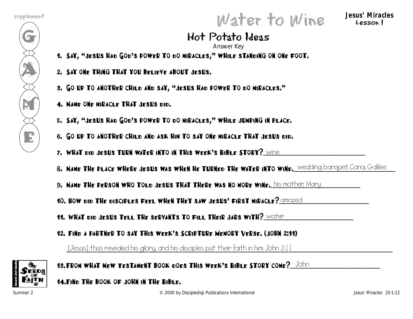$\mathcal{G}$ 

A

M

E

# Water to Wine supplement **Jesus' Miracles**

Lesson 1

#### Hot Potato Ideas Answer Key

- 1. Say, "Jesus had God's power to do miracles," while standing on one foot.
- 2. Say one thing that you believe about Jesus.
- 3. Go up to another child and say, "Jesus had power to do miracles."
- 4. Name one miracle that Jesus did.
- 5. Say, "Jesus had God's power to do miracles," while jumping in place.
- 6. Go up to another child and ask him to say one miracle that Jesus did.
- 7. WHAT did Jesus Turn water into in this week's Bible Story?  $\footnotesize \underbrace{\text{wine}}$
- 8. Name the place where jesus was when he turned the water into wine. Wedding banquet; Cana; Galilee
- 9. Name the person who told jesus that there was no more wine.  $his mother Mary  $\,$$

10. HOW did the disciples feel when they saw jesus' first miracle?  $\alpha$ mazed  $\alpha$ 

- 11. WHAT did Jesus tell the servants to fill their jars with?  $\overline{\text{water}}$
- 12. Find a partner to say this week's Scripture Memory Verse. (John 2:11)

\_\_\_\_\_\_\_\_\_\_\_\_\_\_\_\_\_\_\_\_\_\_\_\_\_\_\_\_\_\_\_\_\_\_\_\_\_\_\_\_\_\_\_\_\_\_\_\_\_\_\_\_\_\_\_\_\_\_\_\_\_\_\_\_\_\_\_\_\_\_\_\_\_\_\_\_\_\_\_\_ [Jesus] thus revealed his glory, and his disciples put their faith in him. John 2:11



13. FROM WHAT NEW TESTAMENT BOOK DOES THIS WEEK'S BIBLE STORY COME?\_\_JOhn  $\,$ 

14.Find the book of John in the Bible.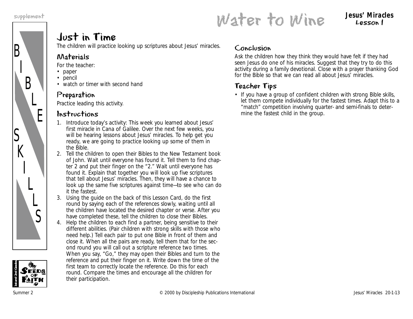

# supplement<br>
Water to Wine Jesus' Miracles

## Lesson 1

## Just in Time

The children will practice looking up scriptures about Jesus' miracles.

#### Materials

*For the teacher:*

- paper
- pencil
- watch or timer with second hand

### Preparation

Practice leading this activity.

#### Instructions

- 1. Introduce today's activity*: This week you learned about Jesus' first miracle in Cana of Galilee. Over the next few weeks, you will be hearing lessons about Jesus' miracles. To help get you ready, we are going to practice looking up some of them in the Bible.*
- 2. Tell the children to open their Bibles to the New Testament book of John. Wait until everyone has found it. Tell them to find chapter 2 and put their finger on the "2." Wait until everyone has found it. Explain that together you will look up five scriptures that tell about Jesus' miracles. Then, they will have a chance to look up the same five scriptures against time—to see who can do it the fastest.
- 3. Using the guide on the back of this Lesson Card, do the first round by saying each of the references slowly, waiting until all the children have located the desired chapter or verse. After you have completed these, tell the children to close their Bibles.
- 4. Help the children to each find a partner, being sensitive to their different abilities. (Pair children with strong skills with those who need help.) Tell each pair to put one Bible in front of them and close it. When all the pairs are ready, tell them that for the second round you will call out a scripture reference two times. When you say, "Go," they may open their Bibles and turn to the reference and put their finger on it. Write down the time of the first team to correctly locate the reference. Do this for each round. Compare the times and encourage all the children for their participation.

#### Conclusion

Ask the children how they think they would have felt if they had seen Jesus do one of his miracles. Suggest that they try to do this activity during a family devotional. Close with a prayer thanking God for the Bible so that we can read all about Jesus' miracles.

## Teacher Tips

• If you have a group of confident children with strong Bible skills, let them compete individually for the fastest times. Adapt this to a "match" competition involving quarter- and semi-finals to determine the fastest child in the group.

**1st and 2nd Grades**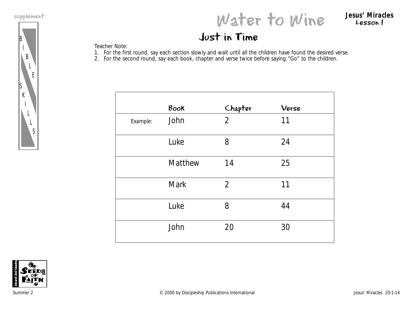L E

B I B

S K

> I L L S

# supplement<br>
Water to Wine Jesus' Miracles

Lesson 1

## Just in Time

Teacher Note:

- 1. For the first round, say each section slowly and wait until all the children have found the desired verse.
- 2. For the second round, say each book, chapter and verse twice before saying "Go" to the children.

|          | Book        | Chapter        | Verse |
|----------|-------------|----------------|-------|
| Example: | John        | $\overline{2}$ | 11    |
|          | Luke        | 8              | 24    |
|          | Matthew     | 14             | 25    |
|          | <b>Mark</b> | $\overline{2}$ | 11    |
|          | Luke        | 8              | 44    |
|          | John        | 20             | 30    |

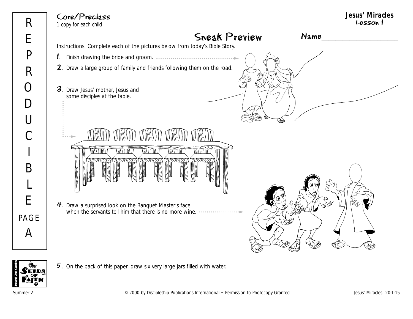Instructions: Complete each of the pictures below from today's Bible Story. Core/Preclass 1 copy for each child

2. Draw a large group of family and friends following them on the road.

1. Finish drawing the bride and groom.

- 3. Draw Jesus' mother, Jesus and some disciples at the table.
	- **MATTELINI VALLEY CONT** WITATION **WITTENT** WITTELL
- 4. Draw a surprised look on the Banquet Master's face when the servants tell him that there is no more wine.



Name\_\_\_\_\_\_\_\_\_\_\_\_\_\_\_\_\_\_\_\_\_\_



 $5.$  On the back of this paper, draw six very large jars filled with water.

Summer 2 **Example 2** COOD by Discipleship Publications International • Permission to Photocopy Granted Jesus' Miracles 20-1-15

Sneak Preview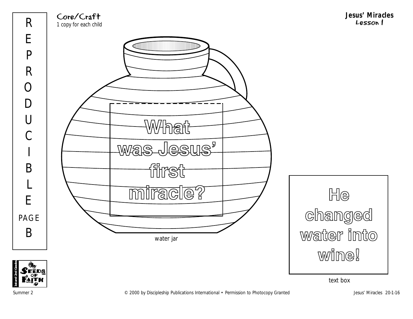





WWhat

filmst

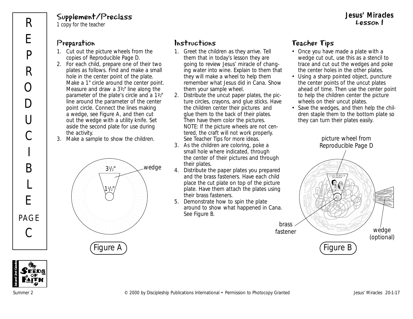## Supplement/Preclass

1 copy for the teacher

#### Preparation

R

E

P

R

 $\bigcirc$ 

D

U

 $\overline{C}$ 

I

B

L

E

PAGE

C

- 1. Cut out the picture wheels from the copies of Reproducible Page D.
- 2. For each child, prepare one of their two plates as follows. Find and make a small hole in the center point of the plate. Make a 1" circle around the center point. Measure and draw a  $3\frac{1}{2}$ " line along the parameter of the plate's circle and a 11/2" line around the parameter of the center point circle. Connect the lines making a wedge, see Figure A, and then cut out the wedge with a utility knife. Set aside the second plate for use during the activity.
- 3. Make a sample to show the children.





## Instructions

- 1. Greet the children as they arrive. Tell them that in today's lesson they are going to review Jesus' miracle of changing water into wine. Explain to them that they will make a wheel to help them remember what Jesus did in Cana. Show them your sample wheel.
- 2. Distribute the uncut paper plates, the picture circles, crayons, and glue sticks. Have the children center their pictures and glue them to the back of their plates. Then have them color the pictures. NOTE: If the picture wheels are not centered, the craft will not work properly. See Teacher Tips for more ideas.
- 3. As the children are coloring, poke a small hole where indicated, through the center of their pictures and through their plates.
- 4. Distribute the paper plates you prepared and the brass fasteners. Have each child place the cut plate on top of the picture plate. Have them attach the plates using their brass fasteners.
- 5. Demonstrate how to spin the plate around to show what happened in Cana. See Figure B.

#### Teacher Tips

- Once you have made a plate with a wedge cut out, use this as a stencil to trace and cut out the wedges and poke the center holes in the other plates.
- Using a sharp pointed object, puncture the center points of the uncut plates ahead of time. Then use the center point to help the children center the picture wheels on their uncut plates.
- Save the wedges, and then help the children staple them to the bottom plate so they can turn their plates easily.

Figure A ) ( Figure B 1. Jesus and Mary at the wedding. picture wheel from Reproducible Page D wedge (optional) brass fastener

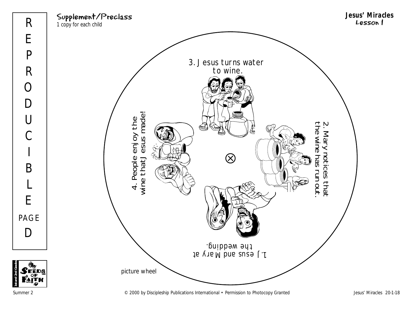



Summer 2 COOD by Discipleship Publications International • Permission to Photocopy Granted Jesus' Miracles 20-1-18